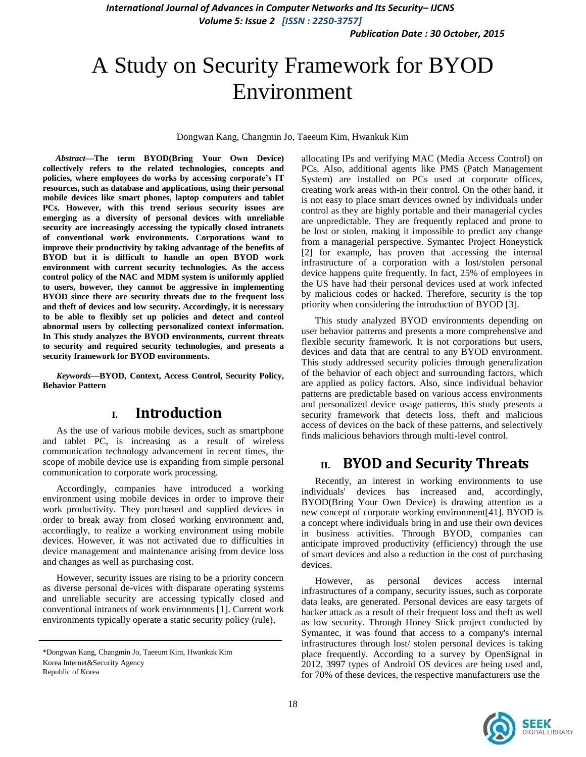*Publication Date : 30 October, 2015*

# A Study on Security Framework for BYOD Environment

Dongwan Kang, Changmin Jo, Taeeum Kim, Hwankuk Kim

*Abstract***—The term BYOD(Bring Your Own Device) collectively refers to the related technologies, concepts and policies, where employees do works by accessing corporate's IT resources, such as database and applications, using their personal mobile devices like smart phones, laptop computers and tablet PCs. However, with this trend serious security issues are emerging as a diversity of personal devices with unreliable security are increasingly accessing the typically closed intranets of conventional work environments. Corporations want to improve their productivity by taking advantage of the benefits of BYOD but it is difficult to handle an open BYOD work environment with current security technologies. As the access control policy of the NAC and MDM system is uniformly applied to users, however, they cannot be aggressive in implementing BYOD since there are security threats due to the frequent loss and theft of devices and low security. Accordingly, it is necessary to be able to flexibly set up policies and detect and control abnormal users by collecting personalized context information. In This study analyzes the BYOD environments, current threats to security and required security technologies, and presents a security framework for BYOD environments.**

*Keywords—***BYOD, Context, Access Control, Security Policy, Behavior Pattern**

### **I. Introduction**

As the use of various mobile devices, such as smartphone and tablet PC, is increasing as a result of wireless communication technology advancement in recent times, the scope of mobile device use is expanding from simple personal communication to corporate work processing.

Accordingly, companies have introduced a working environment using mobile devices in order to improve their work productivity. They purchased and supplied devices in order to break away from closed working environment and, accordingly, to realize a working environment using mobile devices. However, it was not activated due to difficulties in device management and maintenance arising from device loss and changes as well as purchasing cost.

However, security issues are rising to be a priority concern as diverse personal de-vices with disparate operating systems and unreliable security are accessing typically closed and conventional intranets of work environments [1]. Current work environments typically operate a static security policy (rule),

allocating IPs and verifying MAC (Media Access Control) on PCs. Also, additional agents like PMS (Patch Management System) are installed on PCs used at corporate offices, creating work areas with-in their control. On the other hand, it is not easy to place smart devices owned by individuals under control as they are highly portable and their managerial cycles are unpredictable. They are frequently replaced and prone to be lost or stolen, making it impossible to predict any change from a managerial perspective. Symantec Project Honeystick [2] for example, has proven that accessing the internal infrastructure of a corporation with a lost/stolen personal device happens quite frequently. In fact, 25% of employees in the US have had their personal devices used at work infected by malicious codes or hacked. Therefore, security is the top priority when considering the introduction of BYOD [3].

This study analyzed BYOD environments depending on user behavior patterns and presents a more comprehensive and flexible security framework. It is not corporations but users, devices and data that are central to any BYOD environment. This study addressed security policies through generalization of the behavior of each object and surrounding factors, which are applied as policy factors. Also, since individual behavior patterns are predictable based on various access environments and personalized device usage patterns, this study presents a security framework that detects loss, theft and malicious access of devices on the back of these patterns, and selectively finds malicious behaviors through multi-level control.

### **II. BYOD and Security Threats**

Recently, an interest in working environments to use individuals' devices has increased and, accordingly, BYOD(Bring Your Own Device) is drawing attention as a new concept of corporate working environment[41]. BYOD is a concept where individuals bring in and use their own devices in business activities. Through BYOD, companies can anticipate improved productivity (efficiency) through the use of smart devices and also a reduction in the cost of purchasing devices.

However, as personal devices access internal infrastructures of a company, security issues, such as corporate data leaks, are generated. Personal devices are easy targets of hacker attack as a result of their frequent loss and theft as well as low security. Through Honey Stick project conducted by Symantec, it was found that access to a company's internal infrastructures through lost/ stolen personal devices is taking place frequently. According to a survey by OpenSignal in 2012, 3997 types of Android OS devices are being used and, for 70% of these devices, the respective manufacturers use the



<sup>\*</sup>Dongwan Kang, Changmin Jo, Taeeum Kim, Hwankuk Kim Korea Internet&Security Agency Republic of Korea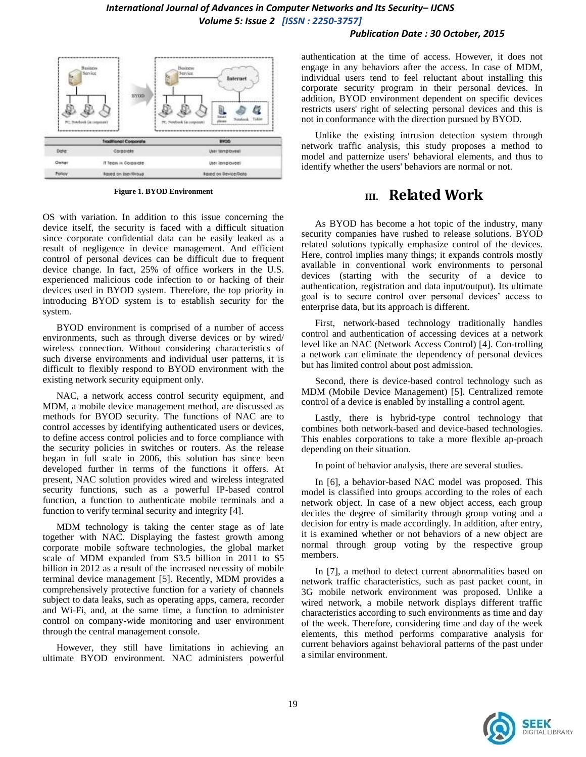#### *Publication Date : 30 October, 2015*



**Figure 1. BYOD Environment**

OS with variation. In addition to this issue concerning the device itself, the security is faced with a difficult situation since corporate confidential data can be easily leaked as a result of negligence in device management. And efficient control of personal devices can be difficult due to frequent device change. In fact, 25% of office workers in the U.S. experienced malicious code infection to or hacking of their devices used in BYOD system. Therefore, the top priority in introducing BYOD system is to establish security for the system.

BYOD environment is comprised of a number of access environments, such as through diverse devices or by wired/ wireless connection. Without considering characteristics of such diverse environments and individual user patterns, it is difficult to flexibly respond to BYOD environment with the existing network security equipment only.

NAC, a network access control security equipment, and MDM, a mobile device management method, are discussed as methods for BYOD security. The functions of NAC are to control accesses by identifying authenticated users or devices, to define access control policies and to force compliance with the security policies in switches or routers. As the release began in full scale in 2006, this solution has since been developed further in terms of the functions it offers. At present, NAC solution provides wired and wireless integrated security functions, such as a powerful IP-based control function, a function to authenticate mobile terminals and a function to verify terminal security and integrity [4].

MDM technology is taking the center stage as of late together with NAC. Displaying the fastest growth among corporate mobile software technologies, the global market scale of MDM expanded from \$3.5 billion in 2011 to \$5 billion in 2012 as a result of the increased necessity of mobile terminal device management [5]. Recently, MDM provides a comprehensively protective function for a variety of channels subject to data leaks, such as operating apps, camera, recorder and Wi-Fi, and, at the same time, a function to administer control on company-wide monitoring and user environment through the central management console.

However, they still have limitations in achieving an ultimate BYOD environment. NAC administers powerful authentication at the time of access. However, it does not engage in any behaviors after the access. In case of MDM, individual users tend to feel reluctant about installing this corporate security program in their personal devices. In addition, BYOD environment dependent on specific devices restricts users' right of selecting personal devices and this is not in conformance with the direction pursued by BYOD.

Unlike the existing intrusion detection system through network traffic analysis, this study proposes a method to model and patternize users' behavioral elements, and thus to identify whether the users' behaviors are normal or not.

## **III. Related Work**

As BYOD has become a hot topic of the industry, many security companies have rushed to release solutions. BYOD related solutions typically emphasize control of the devices. Here, control implies many things; it expands controls mostly available in conventional work environments to personal devices (starting with the security of a device to authentication, registration and data input/output). Its ultimate goal is to secure control over personal devices' access to enterprise data, but its approach is different.

First, network-based technology traditionally handles control and authentication of accessing devices at a network level like an NAC (Network Access Control) [4]. Con-trolling a network can eliminate the dependency of personal devices but has limited control about post admission.

Second, there is device-based control technology such as MDM (Mobile Device Management) [5]. Centralized remote control of a device is enabled by installing a control agent.

Lastly, there is hybrid-type control technology that combines both network-based and device-based technologies. This enables corporations to take a more flexible ap-proach depending on their situation.

In point of behavior analysis, there are several studies.

In [6], a behavior-based NAC model was proposed. This model is classified into groups according to the roles of each network object. In case of a new object access, each group decides the degree of similarity through group voting and a decision for entry is made accordingly. In addition, after entry, it is examined whether or not behaviors of a new object are normal through group voting by the respective group members.

In [7], a method to detect current abnormalities based on network traffic characteristics, such as past packet count, in 3G mobile network environment was proposed. Unlike a wired network, a mobile network displays different traffic characteristics according to such environments as time and day of the week. Therefore, considering time and day of the week elements, this method performs comparative analysis for current behaviors against behavioral patterns of the past under a similar environment.

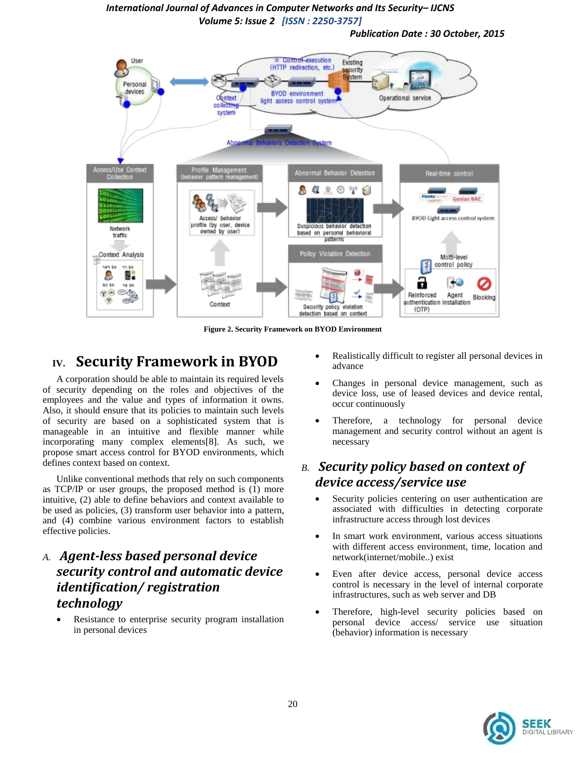*Publication Date : 30 October, 2015*



**Figure 2. Security Framework on BYOD Environment**

# **IV. Security Framework in BYOD**

A corporation should be able to maintain its required levels of security depending on the roles and objectives of the employees and the value and types of information it owns. Also, it should ensure that its policies to maintain such levels of security are based on a sophisticated system that is manageable in an intuitive and flexible manner while incorporating many complex elements[8]. As such, we propose smart access control for BYOD environments, which defines context based on context.

Unlike conventional methods that rely on such components as TCP/IP or user groups, the proposed method is (1) more intuitive, (2) able to define behaviors and context available to be used as policies, (3) transform user behavior into a pattern, and (4) combine various environment factors to establish effective policies.

### *A. Agent-less based personal device security control and automatic device identification/ registration technology*

 Resistance to enterprise security program installation in personal devices

- Realistically difficult to register all personal devices in advance
- Changes in personal device management, such as device loss, use of leased devices and device rental, occur continuously
- Therefore, a technology for personal device management and security control without an agent is necessary

### *B. Security policy based on context of device access/service use*

- Security policies centering on user authentication are associated with difficulties in detecting corporate infrastructure access through lost devices
- In smart work environment, various access situations with different access environment, time, location and network(internet/mobile..) exist
- Even after device access, personal device access control is necessary in the level of internal corporate infrastructures, such as web server and DB
- Therefore, high-level security policies based on personal device access/ service use situation (behavior) information is necessary